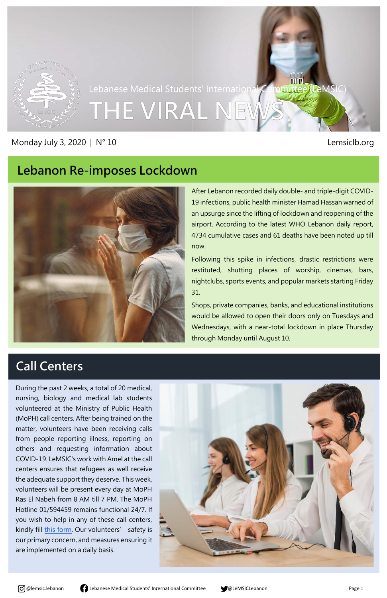

Lebanese Medical Students' International Committee (LeMSI

THE VIRAL NET

#### Monday July 3, 2020 | N° 10 **Lemsicla** and the state of the state of the state of the state of the state of the state of the state of the state of the state of the state of the state of the state of the state of the state



#### **Lebanon Re-imposes Lockdown**



**nters** After Lebanon recorded daily double- and triple-digit COVID-19 infections, public health minister Hamad Hassan warned of an upsurge since the lifting of lockdown and reopening of the airport. According to the latest WHO Lebanon daily report, 4734 cumulative cases and 61 deaths have been noted up till now.

Following this spike in infections, drastic restrictions were restituted, shutting places of worship, cinemas, bars, nightclubs, sports events, and popular markets starting Friday 31.

Shops, private companies, banks, and educational institutions would be allowed to open their doors only on Tuesdays and Wednesdays, with a near-total lockdown in place Thursday through Monday until August 10.

# **Call Centers**

During the past 2 weeks, a total of 20 medical, nursing, biology and medical lab students volunteered at the Ministry of Public Health (MoPH) call centers. After being trained on the matter, volunteers have been receiving calls from people reporting illness, reporting on others and requesting information about COVID-19. LeMSIC's work with Amel at the call centers ensures that refugees as well receive the adequate support they deserve. This week, volunteers will be present every day at MoPH Ras El Nabeh from 8 AM till 7 PM. The MoPH Hotline 01/594459 remains functional 24/7. If you wish to help in any of these call centers, kindly fill [this form](https://docs.google.com/forms/d/e/1FAIpQLSdiSDMQ8z938bjJqsrWZGfqWHm0-Kj1u2cCZOwxB_MK3eZZmQ/viewform?usp=send_form). Our volunteers' safety is our primary concern, and measures ensuring it are implemented on a daily basis.





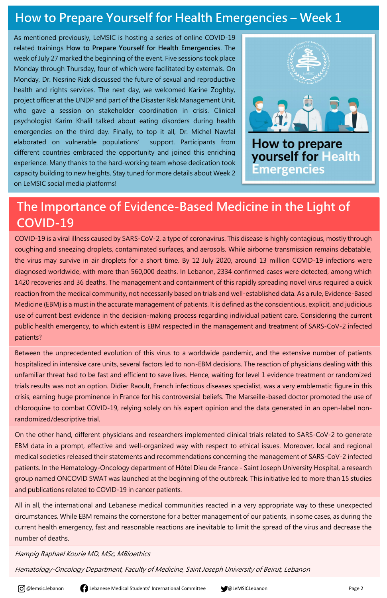

## **How to Prepare Yourself for Health Emergencies - Week 1**

As mentioned previously, LeMSIC is hosting a series of online COVID-19 related trainings **How to Prepare Yourself for Health Emergencies**. The week of July 27 marked the beginning of the event. Five sessions took place Monday through Thursday, four of which were facilitated by externals. On Monday, Dr. Nesrine Rizk discussed the future of sexual and reproductive health and rights services. The next day, we welcomed Karine Zoghby, project officer at the UNDP and part of the Disaster Risk Management Unit, who gave a session on stakeholder coordination in crisis. Clinical psychologist Karim Khalil talked about eating disorders during health emergencies on the third day. Finally, to top it all, Dr. Michel Nawfal elaborated on vulnerable populations' support. Participants from different countries embraced the opportunity and joined this enriching experience. Many thanks to the hard-working team whose dedication took capacity building to new heights. Stay tuned for more details about Week 2 on LeMSIC social media platforms!



**How to prepare yourself for Health** Emergencies

## **The Importance of Evidence-Based Medicine in the Light of COVID-19**

COVID-19 is a viral illness caused by SARS-CoV-2, a type of coronavirus. This disease is highly contagious, mostly through coughing and sneezing droplets, contaminated surfaces, and aerosols. While airborne transmission remains debatable, the virus may survive in air droplets for a short time. By 12 July 2020, around 13 million COVID-19 infections were diagnosed worldwide, with more than 560,000 deaths. In Lebanon, 2334 confirmed cases were detected, among which 1420 recoveries and 36 deaths. The management and containment of this rapidly spreading novel virus required a quick reaction from the medical community, not necessarily based on trials and well-established data. As a rule, Evidence-Based Medicine (EBM) is a must in the accurate management of patients. It is defined as the conscientious, explicit, and judicious use of current best evidence in the decision-making process regarding individual patient care. Considering the current public health emergency, to which extent is EBM respected in the management and treatment of SARS-CoV-2 infected patients?

Between the unprecedented evolution of this virus to a worldwide pandemic, and the extensive number of patients hospitalized in intensive care units, several factors led to non-EBM decisions. The reaction of physicians dealing with this unfamiliar threat had to be fast and efficient to save lives. Hence, waiting for level 1 evidence treatment or randomized trials results was not an option. Didier Raoult, French infectious diseases specialist, was a very emblematic figure in this crisis, earning huge prominence in France for his controversial beliefs. The Marseille-based doctor promoted the use of chloroquine to combat COVID-19, relying solely on his expert opinion and the data generated in an open-label nonrandomized/descriptive trial.

On the other hand, different physicians and researchers implemented clinical trials related to SARS-CoV-2 to generate

EBM data in a prompt, effective and well-organized way with respect to ethical issues. Moreover, local and regional medical societies released their statements and recommendations concerning the management of SARS-CoV-2 infected patients. In the Hematology-Oncology department of Hôtel Dieu de France - Saint Joseph University Hospital, a research group named ONCOVID SWAT was launched at the beginning of the outbreak. This initiative led to more than 15 studies and publications related to COVID-19 in cancer patients.

All in all, the international and Lebanese medical communities reacted in a very appropriate way to these unexpected circumstances. While EBM remains the cornerstone for a better management of our patients, in some cases, as during the current health emergency, fast and reasonable reactions are inevitable to limit the spread of the virus and decrease the number of deaths.

Hampig Raphael Kourie MD, MSc, MBioethics

Hematology-Oncology Department, Faculty of Medicine, Saint Joseph University of Beirut, Lebanon

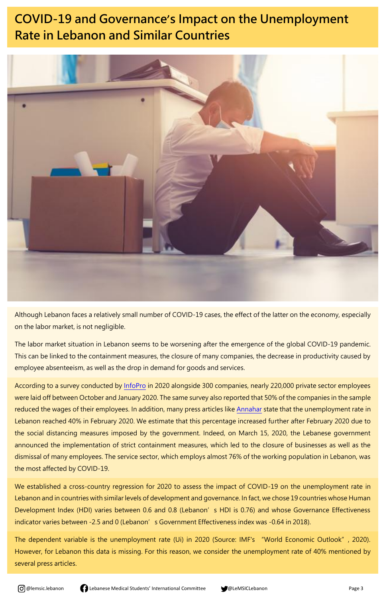

# **COVID-19 and Governance**'**s Impact on the Unemployment Rate in Lebanon and Similar Countries**



Although Lebanon faces a relatively small number of COVID-19 cases, the effect of the latter on the economy, especially on the labor market, is not negligible.

The labor market situation in Lebanon seems to be worsening after the emergence of the global COVID-19 pandemic. This can be linked to the containment measures, the closure of many companies, the decrease in productivity caused by employee absenteeism, as well as the drop in demand for goods and services.

According to a survey conducted by [InfoPro](http://www.infopro.com.lb/) in 2020 alongside 300 companies, nearly 220,000 private sector employees were laid off between October and January 2020. The same survey also reported that 50% of the companies in the sample reduced the wages of their employees. In addition, many press articles like [Annahar](http://www.naharnet.com/stories/en/269289) state that the unemployment rate in Lebanon reached 40% in February 2020. We estimate that this percentage increased further after February 2020 due to the social distancing measures imposed by the government. Indeed, on March 15, 2020, the Lebanese government

announced the implementation of strict containment measures, which led to the closure of businesses as well as the dismissal of many employees. The service sector, which employs almost 76% of the working population in Lebanon, was the most affected by COVID-19.

We established a cross-country regression for 2020 to assess the impact of COVID-19 on the unemployment rate in Lebanon and in countries with similar levels of development and governance. In fact, we chose 19 countries whose Human Development Index (HDI) varies between 0.6 and 0.8 (Lebanon's HDI is 0.76) and whose Governance Effectiveness indicator varies between -2.5 and 0 (Lebanon's Government Effectiveness index was -0.64 in 2018).

The dependent variable is the unemployment rate (Ui) in 2020 (Source: IMF's "World Economic Outlook", 2020). However, for Lebanon this data is missing. For this reason, we consider the unemployment rate of 40% mentioned by several press articles.



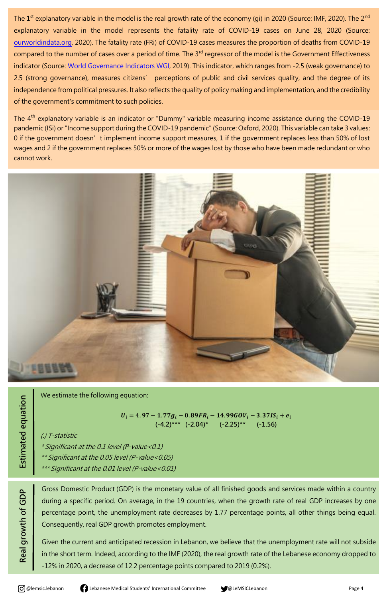

The  $1^{st}$  explanatory variable in the model is the real growth rate of the economy (gi) in 2020 (Source: IMF, 2020). The  $2^{nd}$ explanatory variable in the model represents the fatality rate of COVID-19 cases on June 28, 2020 (Source: [ourworldindata.org,](http://www.ourworldindata.org/) 2020). The fatality rate (FRi) of COVID-19 cases measures the proportion of deaths from COVID-19 compared to the number of cases over a period of time. The 3<sup>rd</sup> regressor of the model is the Government Effectiveness indicator (Source: [World Governance Indicators WGI,](https://info.worldbank.org/governance/wgi/) 2019). This indicator, which ranges from -2.5 (weak governance) to 2.5 (strong governance), measures citizens' perceptions of public and civil services quality, and the degree of its independence from political pressures. It also reflects the quality of policy making and implementation, and the credibility of the government's commitment to such policies.

The 4<sup>th</sup> explanatory variable is an indicator or "Dummy" variable measuring income assistance during the COVID-19 pandemic (ISi) or "Income support during the COVID-19 pandemic" (Source: Oxford, 2020). This variable can take 3 values: 0 if the government doesn't implement income support measures, 1 if the government replaces less than 50% of lost wages and 2 if the government replaces 50% or more of the wages lost by those who have been made redundant or who cannot work.



 $U_i = 4.97 - 1.77g_i - 0.89FR_i - 14.99GOV_i - 3.37IS_i + e_i$  **(-4.2)\*\*\* (-2.04)\* (-2.25)\*\* (-1.56)**

Estimated equation **Estimated equation**

Real growth of GDP **Real growth of GDP** We estimate the following equation:

(.) T-statistic

\* Significant at the 0.1 level (P-value<0.1)

\*\* Significant at the 0.05 level (P-value<0.05)

\*\*\* Significant at the 0.01 level (P-value<0.01)

Gross Domestic Product (GDP) is the monetary value of all finished goods and services made within a country during a specific period. On average, in the 19 countries, when the growth rate of real GDP increases by one percentage point, the unemployment rate decreases by 1.77 percentage points, all other things being equal. Consequently, real GDP growth promotes employment.

Given the current and anticipated recession in Lebanon, we believe that the unemployment rate will not subside in the short term. Indeed, according to the IMF (2020), the real growth rate of the Lebanese economy dropped to -12% in 2020, a decrease of 12.2 percentage points compared to 2019 (0.2%).

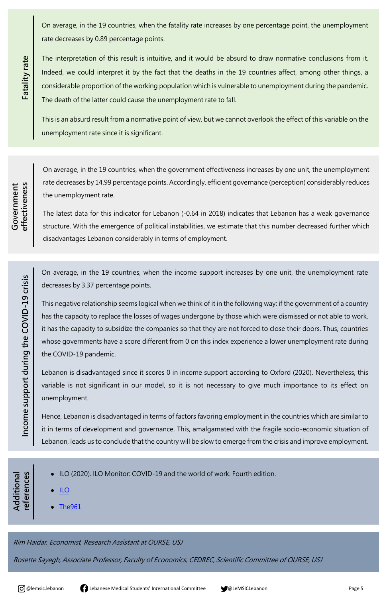@lemsic.lebanon Lebanese Medical Students' In*t*ernational Committee@LeMSICLebanon Page 5



On average, in the 19 countries, when the fatality rate increases by one percentage point, the unemployment rate decreases by 0.89 percentage points.

The interpretation of this result is intuitive, and it would be absurd to draw normative conclusions from it. Indeed, we could interpret it by the fact that the deaths in the 19 countries affect, among other things, a considerable proportion of the working population which is vulnerable to unemployment during the pandemic. The death of the latter could cause the unemployment rate to fall.

This is an absurd result from a normative point of view, but we cannot overlook the effect of this variable on the unemployment rate since it is significant.

On average, in the 19 countries, when the government effectiveness increases by one unit, the unemployment rate decreases by 14.99 percentage points. Accordingly, efficient governance (perception) considerably reduces the unemployment rate.

The latest data for this indicator for Lebanon (-0.64 in 2018) indicates that Lebanon has a weak governance structure. With the emergence of political instabilities, we estimate that this number decreased further which disadvantages Lebanon considerably in terms of employment.

On average, in the 19 countries, when the income support increases by one unit, the unemployment rate decreases by 3.37 percentage points.

**Additional**  eferences **references**Additional

This negative relationship seems logical when we think of it in the following way: if the government of a country has the capacity to replace the losses of wages undergone by those which were dismissed or not able to work, it has the capacity to subsidize the companies so that they are not forced to close their doors. Thus, countries whose governments have a score different from 0 on this index experience a lower unemployment rate during the COVID-19 pandemic.

Lebanon is disadvantaged since it scores 0 in income support according to Oxford (2020). Nevertheless, this variable is not significant in our model, so it is not necessary to give much importance to its effect on unemployment.

Hence, Lebanon is disadvantaged in terms of factors favoring employment in the countries which are similar to it in terms of development and governance. This, amalgamated with the fragile socio-economic situation of Lebanon, leads us to conclude that the country will be slow to emerge from the crisis and improve employment.

Rim Haidar, Economist, Research Assistant at OURSE, USJ

Rosette Sayegh, Associate Professor, Faculty of Economics, CEDREC, Scientific Committee of OURSE, USJ







● [ILO](https://www.ilo.org/skills/Whatsnew/WCMS_740668/lang--en/index.htm)

● [The961](https://www.the961.com/unemployment-in-lebanon-just-hit-40/)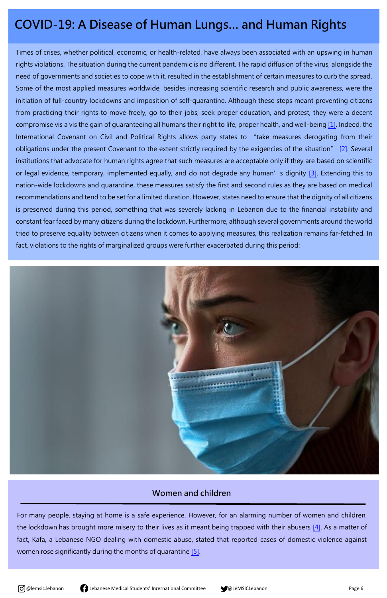



## **COVID-19: A Disease of Human Lungs… and Human Rights**

Times of crises, whether political, economic, or health-related, have always been associated with an upswing in human rights violations. The situation during the current pandemic is no different. The rapid diffusion of the virus, alongside the need of governments and societies to cope with it, resulted in the establishment of certain measures to curb the spread. Some of the most applied measures worldwide, besides increasing scientific research and public awareness, were the initiation of full-country lockdowns and imposition of self-quarantine. Although these steps meant preventing citizens from practicing their rights to move freely, go to their jobs, seek proper education, and protest, they were a decent compromise vis a vis the gain of guaranteeing all humans their right to life, proper health, and well-being [\[1\].](https://www.un.org/en/universal-declaration-human-rights/) Indeed, the International Covenant on Civil and Political Rights allows party states to "take measures derogating from their obligations under the present Covenant to the extent strictly required by the exigencies of the situation" [\[2\].](https://www.ohchr.org/en/professionalinterest/pages/ccpr.aspx) Several institutions that advocate for human rights agree that such measures are acceptable only if they are based on scientific or legal evidence, temporary, implemented equally, and do not degrade any human's dignity [\[3\].](https://www.ncbi.nlm.nih.gov/pmc/articles/PMC7365536/) Extending this to nation-wide lockdowns and quarantine, these measures satisfy the first and second rules as they are based on medical recommendations and tend to be set for a limited duration. However, states need to ensure that the dignity of all citizens is preserved during this period, something that was severely lacking in Lebanon due to the financial instability and constant fear faced by many citizens during the lockdown. Furthermore, although several governments around the world tried to preserve equality between citizens when it comes to applying measures, this realization remains far-fetched. In fact, violations to the rights of marginalized groups were further exacerbated during this period:





For many people, staying at home is a safe experience. However, for an alarming number of women and children, the lockdown has brought more misery to their lives as it meant being trapped with their abusers [\[4\].](https://europepmc.org/article/med/32504462) As a matter of fact, Kafa, a Lebanese NGO dealing with domestic abuse, stated that reported cases of domestic violence against women rose significantly during the months of quarantine [\[5\].](https://www.kafa.org.lb/en/node/414)



#### **Women and children**